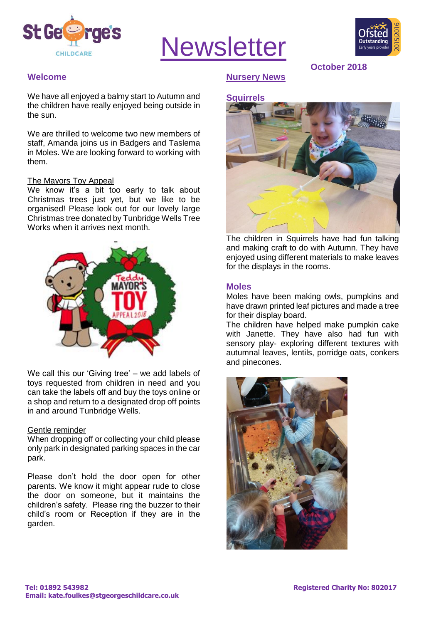

# **Newsletter**



**October 2018**

#### **Welcome**

We have all enjoyed a balmy start to Autumn and the children have really enjoyed being outside in the sun.

We are thrilled to welcome two new members of staff, Amanda joins us in Badgers and Taslema in Moles. We are looking forward to working with them.

#### The Mayors Toy Appeal

We know it's a bit too early to talk about Christmas trees just yet, but we like to be organised! Please look out for our lovely large Christmas tree donated by Tunbridge Wells Tree Works when it arrives next month.



We call this our 'Giving tree' – we add labels of toys requested from children in need and you can take the labels off and buy the toys online or a shop and return to a designated drop off points in and around Tunbridge Wells.

#### Gentle reminder

When dropping off or collecting your child please only park in designated parking spaces in the car park.

Please don't hold the door open for other parents. We know it might appear rude to close the door on someone, but it maintains the children's safety. Please ring the buzzer to their child's room or Reception if they are in the garden.

### **Nursery News**

# **Squirrels**



The children in Squirrels have had fun talking and making craft to do with Autumn. They have enjoyed using different materials to make leaves for the displays in the rooms.

#### **Moles**

Moles have been making owls, pumpkins and have drawn printed leaf pictures and made a tree for their display board.

The children have helped make pumpkin cake with Janette. They have also had fun with sensory play- exploring different textures with autumnal leaves, lentils, porridge oats, conkers and pinecones.

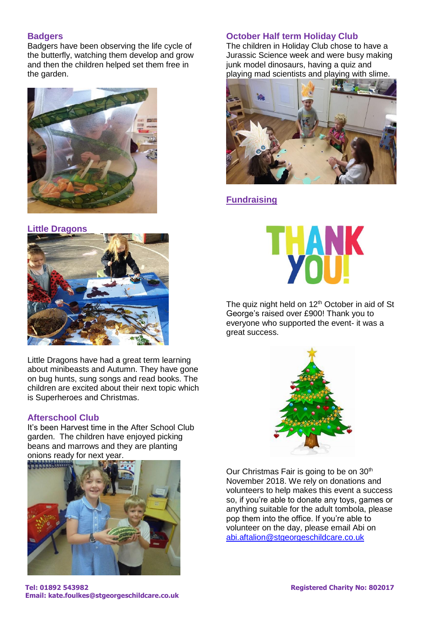### **Badgers**

Badgers have been observing the life cycle of the butterfly, watching them develop and grow and then the children helped set them free in the garden.



#### **Little Dragons**



Little Dragons have had a great term learning about minibeasts and Autumn. They have gone on bug hunts, sung songs and read books. The children are excited about their next topic which is Superheroes and Christmas.

#### **Afterschool Club**

It's been Harvest time in the After School Club garden. The children have enjoyed picking beans and marrows and they are planting onions ready for next year.



## **October Half term Holiday Club**

The children in Holiday Club chose to have a Jurassic Science week and were busy making junk model dinosaurs, having a quiz and playing mad scientists and playing with slime.



# **Fundraising**



The quiz night held on 12<sup>th</sup> October in aid of St George's raised over £900! Thank you to everyone who supported the event- it was a great success.



Our Christmas Fair is going to be on 30<sup>th</sup> November 2018. We rely on donations and volunteers to help makes this event a success so, if you're able to donate any toys, games or anything suitable for the adult tombola, please pop them into the office. If you're able to volunteer on the day, please email Abi on [abi.aftalion@stgeorgeschildcare.co.uk](mailto:abi.aftalion@stgeorgeschildcare.co.uk)